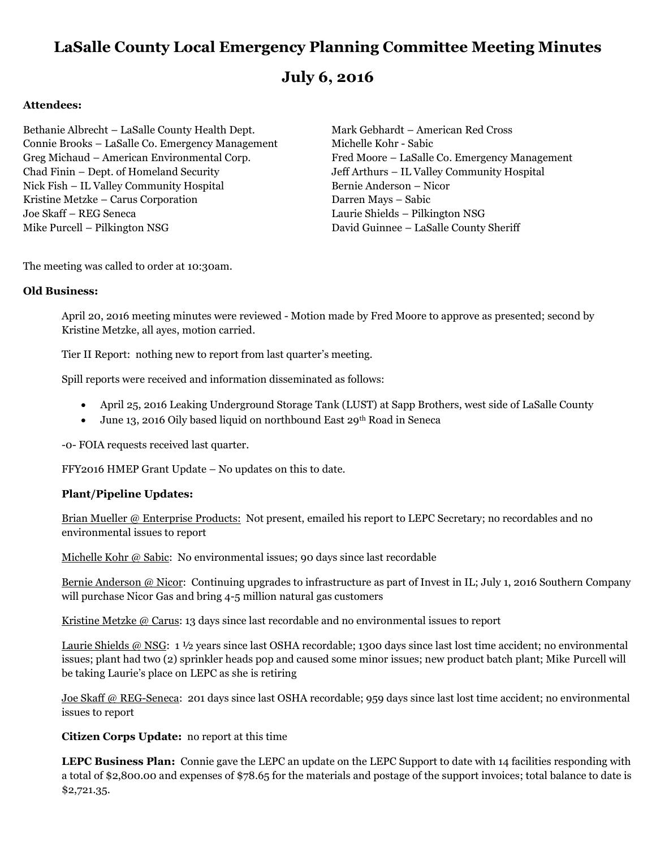# **LaSalle County Local Emergency Planning Committee Meeting Minutes**

# **July 6, 2016**

# **Attendees:**

Bethanie Albrecht – LaSalle County Health Dept. Mark Gebhardt – American Red Cross Connie Brooks – LaSalle Co. Emergency Management Michelle Kohr - Sabic Greg Michaud – American Environmental Corp. Fred Moore – LaSalle Co. Emergency Management Chad Finin – Dept. of Homeland Security Jeff Arthurs – IL Valley Community Hospital Nick Fish – IL Valley Community Hospital Bernie Anderson – Nicor Kristine Metzke – Carus Corporation Darren Mays – Sabic Joe Skaff – REG Seneca Laurie Shields – Pilkington NSG Mike Purcell – Pilkington NSG David Guinnee – LaSalle County Sheriff

The meeting was called to order at 10:30am.

# **Old Business:**

April 20, 2016 meeting minutes were reviewed - Motion made by Fred Moore to approve as presented; second by Kristine Metzke, all ayes, motion carried.

Tier II Report: nothing new to report from last quarter's meeting.

Spill reports were received and information disseminated as follows:

- April 25, 2016 Leaking Underground Storage Tank (LUST) at Sapp Brothers, west side of LaSalle County
- June 13, 2016 Oily based liquid on northbound East 29th Road in Seneca

-0- FOIA requests received last quarter.

FFY2016 HMEP Grant Update – No updates on this to date.

# **Plant/Pipeline Updates:**

Brian Mueller @ Enterprise Products: Not present, emailed his report to LEPC Secretary; no recordables and no environmental issues to report

Michelle Kohr @ Sabic: No environmental issues; 90 days since last recordable

Bernie Anderson @ Nicor: Continuing upgrades to infrastructure as part of Invest in IL; July 1, 2016 Southern Company will purchase Nicor Gas and bring 4-5 million natural gas customers

Kristine Metzke @ Carus: 13 days since last recordable and no environmental issues to report

Laurie Shields @ NSG: 1 1/2 years since last OSHA recordable; 1300 days since last lost time accident; no environmental issues; plant had two (2) sprinkler heads pop and caused some minor issues; new product batch plant; Mike Purcell will be taking Laurie's place on LEPC as she is retiring

Joe Skaff @ REG-Seneca: 201 days since last OSHA recordable; 959 days since last lost time accident; no environmental issues to report

**Citizen Corps Update:** no report at this time

**LEPC Business Plan:** Connie gave the LEPC an update on the LEPC Support to date with 14 facilities responding with a total of \$2,800.00 and expenses of \$78.65 for the materials and postage of the support invoices; total balance to date is \$2,721.35.